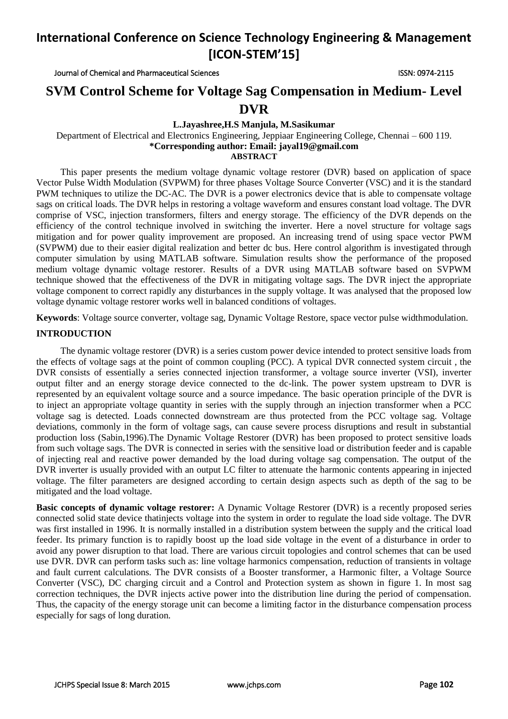Journal of Chemical and Pharmaceutical Sciences ISSN: 0974-2115

### **SVM Control Scheme for Voltage Sag Compensation in Medium- Level DVR**

### **L.Jayashree,H.S Manjula, M.Sasikumar**

Department of Electrical and Electronics Engineering, Jeppiaar Engineering College, Chennai – 600 119. **\*Corresponding author: Email: jayal19@gmail.com**

**ABSTRACT**

This paper presents the medium voltage dynamic voltage restorer (DVR) based on application of space Vector Pulse Width Modulation (SVPWM) for three phases Voltage Source Converter (VSC) and it is the standard PWM techniques to utilize the DC-AC. The DVR is a power electronics device that is able to compensate voltage sags on critical loads. The DVR helps in restoring a voltage waveform and ensures constant load voltage. The DVR comprise of VSC, injection transformers, filters and energy storage. The efficiency of the DVR depends on the efficiency of the control technique involved in switching the inverter. Here a novel structure for voltage sags mitigation and for power quality improvement are proposed. An increasing trend of using space vector PWM (SVPWM) due to their easier digital realization and better dc bus. Here control algorithm is investigated through computer simulation by using MATLAB software. Simulation results show the performance of the proposed medium voltage dynamic voltage restorer. Results of a DVR using MATLAB software based on SVPWM technique showed that the effectiveness of the DVR in mitigating voltage sags. The DVR inject the appropriate voltage component to correct rapidly any disturbances in the supply voltage. It was analysed that the proposed low voltage dynamic voltage restorer works well in balanced conditions of voltages.

**Keywords**: Voltage source converter, voltage sag, Dynamic Voltage Restore, space vector pulse widthmodulation.

### **INTRODUCTION**

The dynamic voltage restorer (DVR) is a series custom power device intended to protect sensitive loads from the effects of voltage sags at the point of common coupling (PCC). A typical DVR connected system circuit , the DVR consists of essentially a series connected injection transformer, a voltage source inverter (VSI), inverter output filter and an energy storage device connected to the dc-link. The power system upstream to DVR is represented by an equivalent voltage source and a source impedance. The basic operation principle of the DVR is to inject an appropriate voltage quantity in series with the supply through an injection transformer when a PCC voltage sag is detected. Loads connected downstream are thus protected from the PCC voltage sag. Voltage deviations, commonly in the form of voltage sags, can cause severe process disruptions and result in substantial production loss (Sabin,1996).The Dynamic Voltage Restorer (DVR) has been proposed to protect sensitive loads from such voltage sags. The DVR is connected in series with the sensitive load or distribution feeder and is capable of injecting real and reactive power demanded by the load during voltage sag compensation. The output of the DVR inverter is usually provided with an output LC filter to attenuate the harmonic contents appearing in injected voltage. The filter parameters are designed according to certain design aspects such as depth of the sag to be mitigated and the load voltage.

**Basic concepts of dynamic voltage restorer:** A Dynamic Voltage Restorer (DVR) is a recently proposed series connected solid state device thatinjects voltage into the system in order to regulate the load side voltage. The DVR was first installed in 1996. It is normally installed in a distribution system between the supply and the critical load feeder. Its primary function is to rapidly boost up the load side voltage in the event of a disturbance in order to avoid any power disruption to that load. There are various circuit topologies and control schemes that can be used use DVR. DVR can perform tasks such as: line voltage harmonics compensation, reduction of transients in voltage and fault current calculations. The DVR consists of a Booster transformer, a Harmonic filter, a Voltage Source Converter (VSC), DC charging circuit and a Control and Protection system as shown in figure 1. In most sag correction techniques, the DVR injects active power into the distribution line during the period of compensation. Thus, the capacity of the energy storage unit can become a limiting factor in the disturbance compensation process especially for sags of long duration.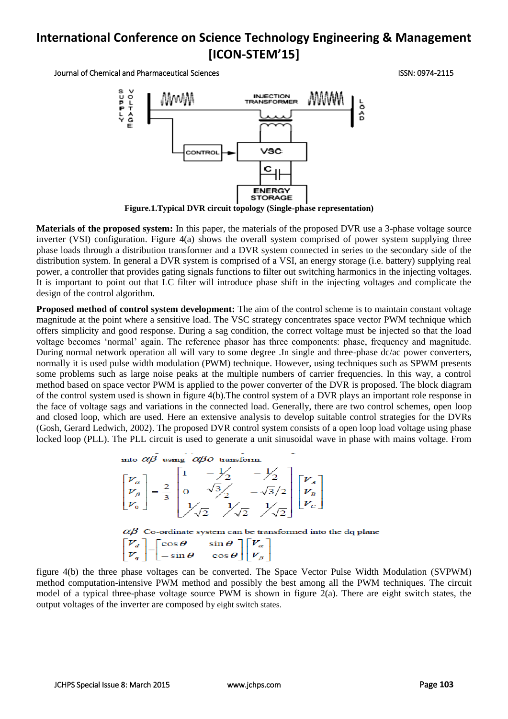Journal of Chemical and Pharmaceutical Sciences ISSN: 0974-2115



**Figure.1.Typical DVR circuit topology (Single-phase representation)**

**Materials of the proposed system:** In this paper, the materials of the proposed DVR use a 3-phase voltage source inverter (VSI) configuration. Figure 4(a) shows the overall system comprised of power system supplying three phase loads through a distribution transformer and a DVR system connected in series to the secondary side of the distribution system. In general a DVR system is comprised of a VSI, an energy storage (i.e. battery) supplying real power, a controller that provides gating signals functions to filter out switching harmonics in the injecting voltages. It is important to point out that LC filter will introduce phase shift in the injecting voltages and complicate the design of the control algorithm.

**Proposed method of control system development:** The aim of the control scheme is to maintain constant voltage magnitude at the point where a sensitive load. The VSC strategy concentrates space vector PWM technique which offers simplicity and good response. During a sag condition, the correct voltage must be injected so that the load voltage becomes 'normal' again. The reference phasor has three components: phase, frequency and magnitude. During normal network operation all will vary to some degree .In single and three-phase dc/ac power converters, normally it is used pulse width modulation (PWM) technique. However, using techniques such as SPWM presents some problems such as large noise peaks at the multiple numbers of carrier frequencies. In this way, a control method based on space vector PWM is applied to the power converter of the DVR is proposed. The block diagram of the control system used is shown in figure 4(b).The control system of a DVR plays an important role response in the face of voltage sags and variations in the connected load. Generally, there are two control schemes, open loop and closed loop, which are used. Here an extensive analysis to develop suitable control strategies for the DVRs (Gosh, Gerard Ledwich, 2002). The proposed DVR control system consists of a open loop load voltage using phase locked loop (PLL). The PLL circuit is used to generate a unit sinusoidal wave in phase with mains voltage. From

into  $\alpha\beta$  using  $\alpha\beta$ O transform.

| $\begin{bmatrix} V_{\alpha} \\ V_{\beta} \\ V_0 \end{bmatrix} = \frac{2}{3} \begin{bmatrix} 1 & -\frac{1}{2} & -\frac{1}{2} \\ 0 & \sqrt{3} & \frac{1}{2} \\ \frac{1}{2} & \frac{1}{2} & \frac{1}{2} \\ \frac{1}{2} & \frac{1}{2} & \frac{1}{2} \end{bmatrix} \begin{bmatrix} V_{\alpha} \\ V_{\beta} \\ V_{c} \end{bmatrix}$ |  |
|-------------------------------------------------------------------------------------------------------------------------------------------------------------------------------------------------------------------------------------------------------------------------------------------------------------------------------|--|
|-------------------------------------------------------------------------------------------------------------------------------------------------------------------------------------------------------------------------------------------------------------------------------------------------------------------------------|--|

 $\alpha\beta$  Co-ordinate system can be transformed into the dq plane  $\begin{bmatrix} V_d \\ V_q \end{bmatrix} = \begin{bmatrix} \cos \theta & \sin \theta \\ -\sin \theta & \cos \theta \end{bmatrix} \begin{bmatrix} V_a \\ V_\beta \end{bmatrix}$ 

figure 4(b) the three phase voltages can be converted. The Space Vector Pulse Width Modulation (SVPWM) method computation-intensive PWM method and possibly the best among all the PWM techniques. The circuit model of a typical three-phase voltage source PWM is shown in figure 2(a). There are eight switch states, the output voltages of the inverter are composed by eight switch states.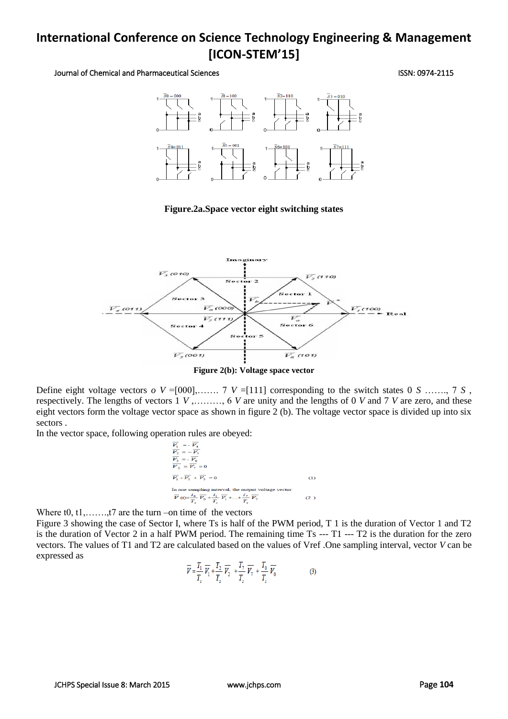Journal of Chemical and Pharmaceutical Sciences ISSN: 0974-2115



**Figure.2a.Space vector eight switching states**



**Figure 2(b): Voltage space vector**

Define eight voltage vectors  $o \, V = [000]$ ,  $\ldots \ldots \, 7 \, V = [111]$  corresponding to the switch states 0 *S*  $\ldots \ldots \, 7 \, S$ , respectively. The lengths of vectors 1 *V* ,………, 6 *V* are unity and the lengths of 0 *V* and 7 *V* are zero, and these eight vectors form the voltage vector space as shown in figure 2 (b). The voltage vector space is divided up into six sectors .

In the vector space, following operation rules are obeyed:



Where  $t0, t1, \ldots, t7$  are the turn –on time of the vectors

Figure 3 showing the case of Sector I, where Ts is half of the PWM period, T 1 is the duration of Vector 1 and T2 is the duration of Vector 2 in a half PWM period. The remaining time Ts --- T1 --- T2 is the duration for the zero vectors. The values of T1 and T2 are calculated based on the values of Vref .One sampling interval, vector *V* can be expressed as

$$
\overline{V} = \frac{T_1}{T_s} \overline{V_1} + \frac{T_2}{T_s} \overline{V_2} + \frac{T_7}{T_s} \overline{V_7} + \frac{T_0}{T_s} \overline{V_0}
$$
(3)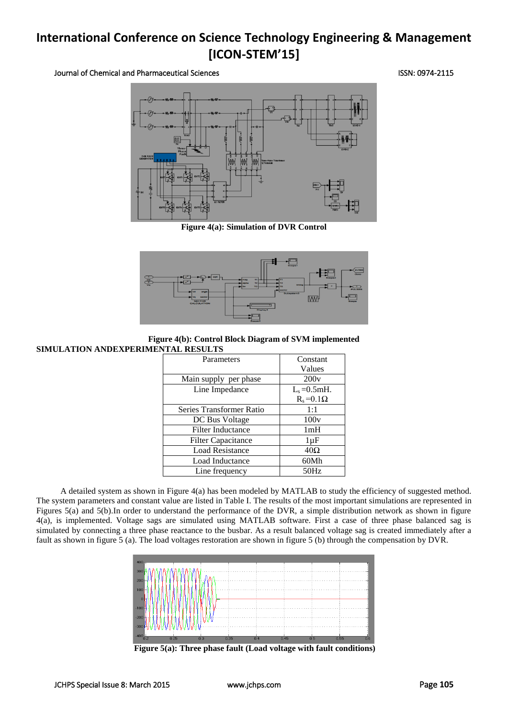### Journal of Chemical and Pharmaceutical Sciences ISSN: 0974-2115



**Figure 4(a): Simulation of DVR Control**



#### **Figure 4(b): Control Block Diagram of SVM implemented SIMULATION ANDEXPERIMENTAL RESULTS**

| THE REDUCTED              |                    |  |
|---------------------------|--------------------|--|
| Parameters                | Constant           |  |
|                           | Values             |  |
| Main supply per phase     | 200v               |  |
| Line Impedance            | $L_s = 0.5$ mH.    |  |
|                           | $R_s = 0.1 \Omega$ |  |
| Series Transformer Ratio  | 1:1                |  |
| DC Bus Voltage            | 100v               |  |
| <b>Filter Inductance</b>  | 1mH                |  |
| <b>Filter Capacitance</b> | $1 \mu F$          |  |
| <b>Load Resistance</b>    | $40\Omega$         |  |
| Load Inductance           | 60Mh               |  |
| Line frequency            | 50Hz               |  |

A detailed system as shown in Figure 4(a) has been modeled by MATLAB to study the efficiency of suggested method. The system parameters and constant value are listed in Table I. The results of the most important simulations are represented in Figures 5(a) and 5(b).In order to understand the performance of the DVR, a simple distribution network as shown in figure 4(a), is implemented. Voltage sags are simulated using MATLAB software. First a case of three phase balanced sag is simulated by connecting a three phase reactance to the busbar. As a result balanced voltage sag is created immediately after a fault as shown in figure 5 (a). The load voltages restoration are shown in figure 5 (b) through the compensation by DVR.



**Figure 5(a): Three phase fault (Load voltage with fault conditions)**